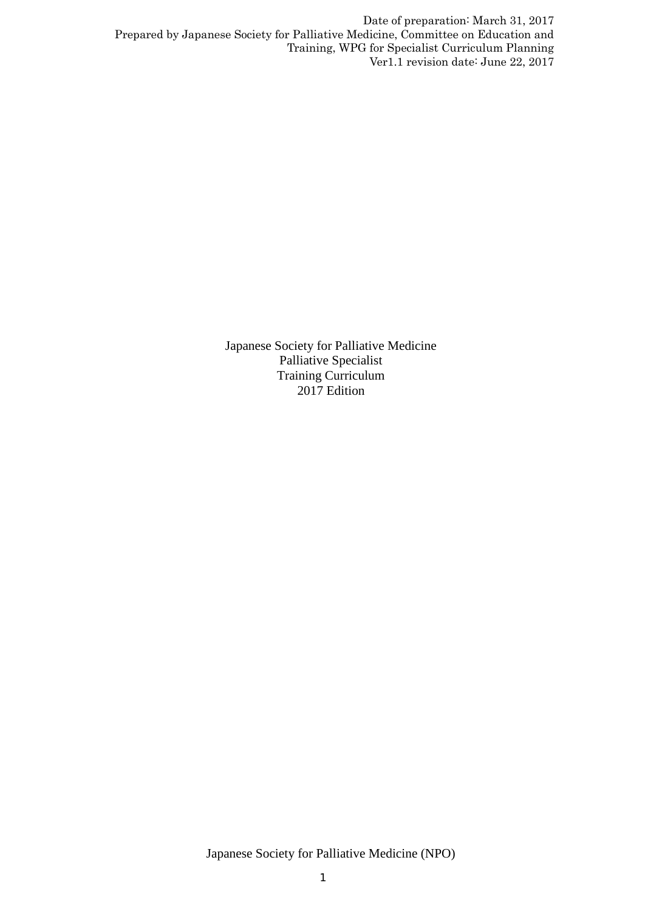> Japanese Society for Palliative Medicine Palliative Specialist Training Curriculum 2017 Edition

Japanese Society for Palliative Medicine (NPO)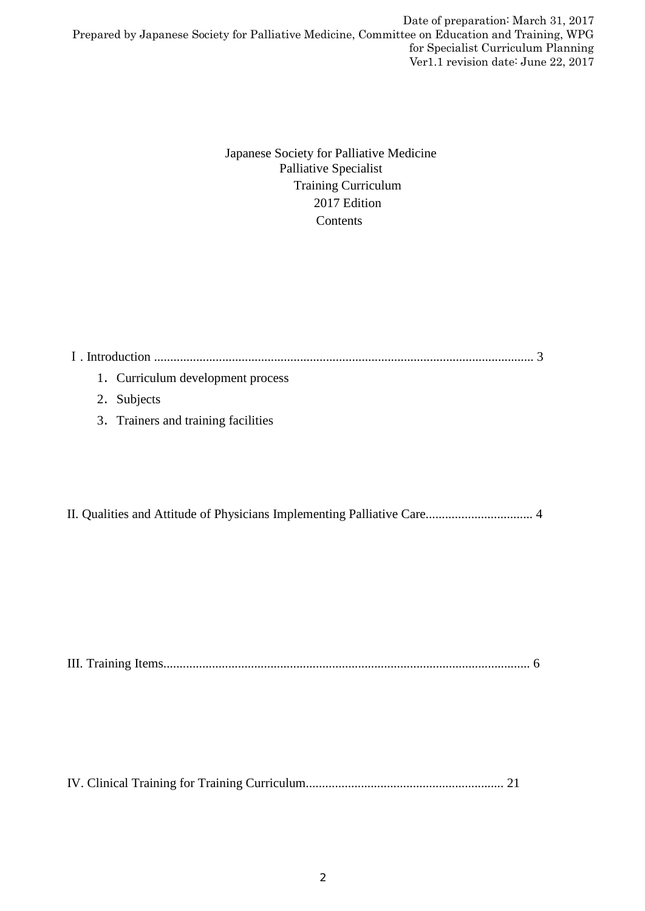> Japanese Society for Palliative Medicine Palliative Specialist Training Curriculum 2017 Edition **Contents**

Ⅰ. Introduction ..................................................................................................................... 3 1.Curriculum development process 2.Subjects 3.Trainers and training facilities

II. Qualities and Attitude of Physicians Implementing Palliative Care................................. 4

III. Training Items................................................................................................................. 6

IV. Clinical Training for Training Curriculum............................................................. 21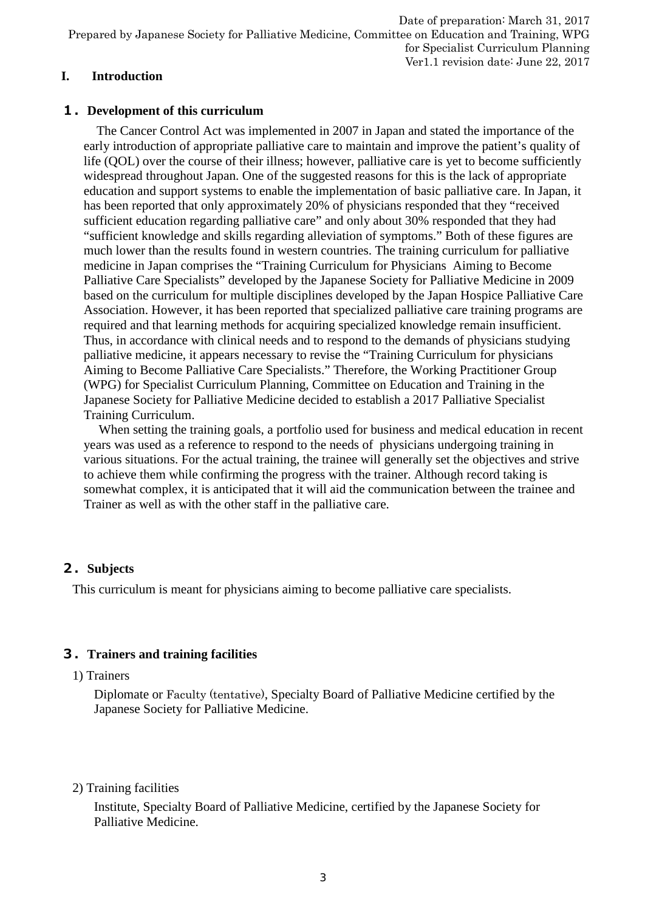# **I. Introduction**

### **1.Development of this curriculum**

The Cancer Control Act was implemented in 2007 in Japan and stated the importance of the early introduction of appropriate palliative care to maintain and improve the patient's quality of life (QOL) over the course of their illness; however, palliative care is yet to become sufficiently widespread throughout Japan. One of the suggested reasons for this is the lack of appropriate education and support systems to enable the implementation of basic palliative care. In Japan, it has been reported that only approximately 20% of physicians responded that they "received sufficient education regarding palliative care" and only about 30% responded that they had "sufficient knowledge and skills regarding alleviation of symptoms." Both of these figures are much lower than the results found in western countries. The training curriculum for palliative medicine in Japan comprises the "Training Curriculum for Physicians Aiming to Become Palliative Care Specialists" developed by the Japanese Society for Palliative Medicine in 2009 based on the curriculum for multiple disciplines developed by the Japan Hospice Palliative Care Association. However, it has been reported that specialized palliative care training programs are required and that learning methods for acquiring specialized knowledge remain insufficient. Thus, in accordance with clinical needs and to respond to the demands of physicians studying palliative medicine, it appears necessary to revise the "Training Curriculum for physicians Aiming to Become Palliative Care Specialists." Therefore, the Working Practitioner Group (WPG) for Specialist Curriculum Planning, Committee on Education and Training in the Japanese Society for Palliative Medicine decided to establish a 2017 Palliative Specialist Training Curriculum.

When setting the training goals, a portfolio used for business and medical education in recent years was used as a reference to respond to the needs of physicians undergoing training in various situations. For the actual training, the trainee will generally set the objectives and strive to achieve them while confirming the progress with the trainer. Although record taking is somewhat complex, it is anticipated that it will aid the communication between the trainee and Trainer as well as with the other staff in the palliative care.

# **2.Subjects**

This curriculum is meant for physicians aiming to become palliative care specialists.

# **3.Trainers and training facilities**

#### 1) Trainers

Diplomate or Faculty (tentative), Specialty Board of Palliative Medicine certified by the Japanese Society for Palliative Medicine.

#### 2) Training facilities

Institute, Specialty Board of Palliative Medicine, certified by the Japanese Society for Palliative Medicine.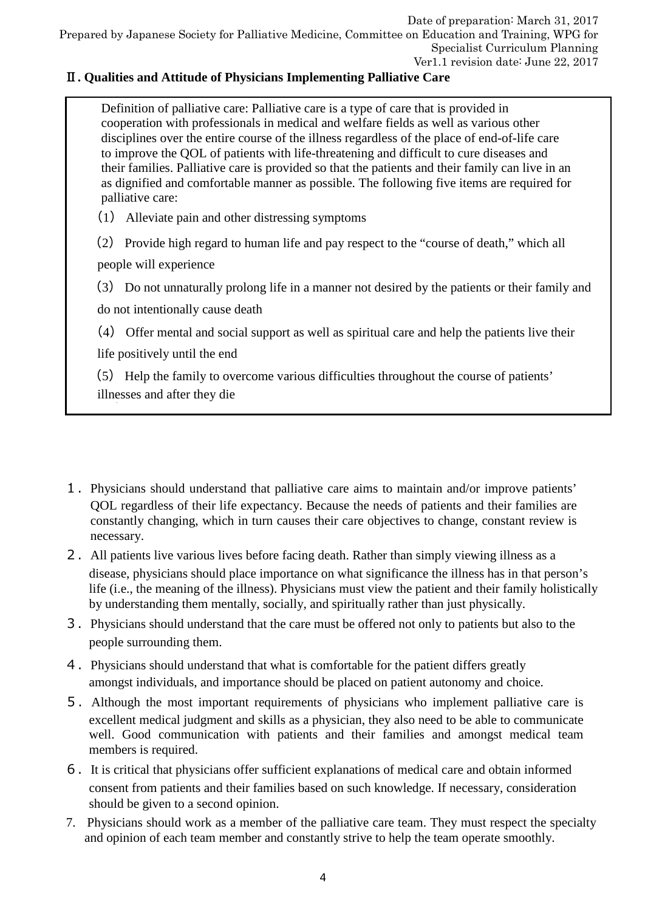# Ⅱ**. Qualities and Attitude of Physicians Implementing Palliative Care**

Definition of palliative care: Palliative care is a type of care that is provided in cooperation with professionals in medical and welfare fields as well as various other disciplines over the entire course of the illness regardless of the place of end-of-life care to improve the QOL of patients with life-threatening and difficult to cure diseases and their families. Palliative care is provided so that the patients and their family can live in an as dignified and comfortable manner as possible. The following five items are required for palliative care:

- (1) Alleviate pain and other distressing symptoms
- (2) Provide high regard to human life and pay respect to the "course of death," which all people will experience

(3) Do not unnaturally prolong life in a manner not desired by the patients or their family and do not intentionally cause death

(4) Offer mental and social support as well as spiritual care and help the patients live their life positively until the end

(5) Help the family to overcome various difficulties throughout the course of patients' illnesses and after they die

- 1.Physicians should understand that palliative care aims to maintain and/or improve patients' QOL regardless of their life expectancy. Because the needs of patients and their families are constantly changing, which in turn causes their care objectives to change, constant review is necessary.
- 2.All patients live various lives before facing death. Rather than simply viewing illness as a disease, physicians should place importance on what significance the illness has in that person's life (i.e., the meaning of the illness). Physicians must view the patient and their family holistically by understanding them mentally, socially, and spiritually rather than just physically.
- 3.Physicians should understand that the care must be offered not only to patients but also to the people surrounding them.
- 4.Physicians should understand that what is comfortable for the patient differs greatly amongst individuals, and importance should be placed on patient autonomy and choice.
- 5.Although the most important requirements of physicians who implement palliative care is excellent medical judgment and skills as a physician, they also need to be able to communicate well. Good communication with patients and their families and amongst medical team members is required.
- 6.It is critical that physicians offer sufficient explanations of medical care and obtain informed consent from patients and their families based on such knowledge. If necessary, consideration should be given to a second opinion.
- 7. Physicians should work as a member of the palliative care team. They must respect the specialty and opinion of each team member and constantly strive to help the team operate smoothly.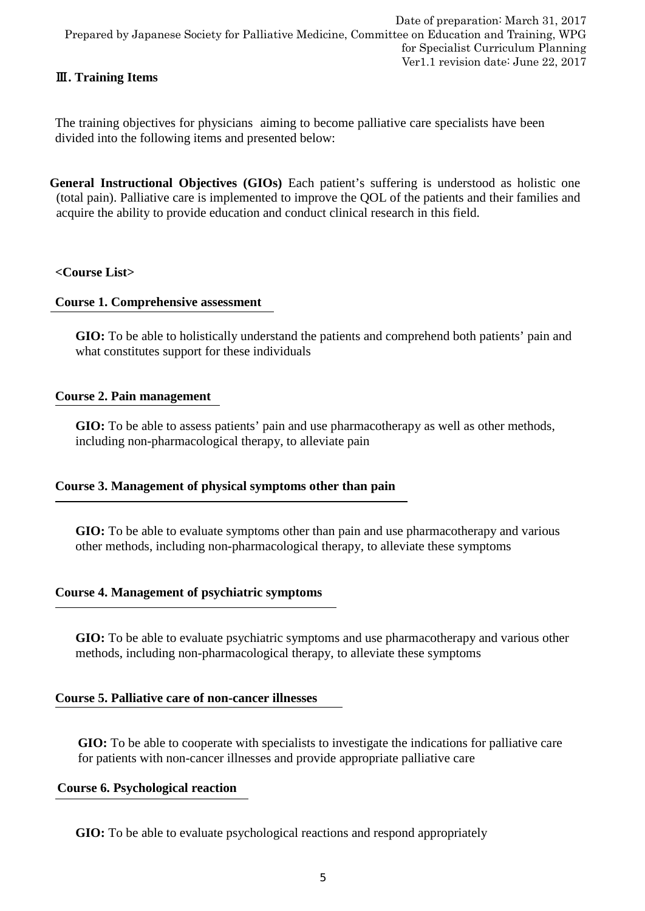# Ⅲ**. Training Items**

The training objectives for physicians aiming to become palliative care specialists have been divided into the following items and presented below:

**General Instructional Objectives (GIOs)** Each patient's suffering is understood as holistic one (total pain). Palliative care is implemented to improve the QOL of the patients and their families and acquire the ability to provide education and conduct clinical research in this field.

#### **<Course List>**

#### **Course 1. Comprehensive assessment**

**GIO:** To be able to holistically understand the patients and comprehend both patients' pain and what constitutes support for these individuals

### **Course 2. Pain management**

GIO: To be able to assess patients' pain and use pharmacotherapy as well as other methods, including non-pharmacological therapy, to alleviate pain

#### **Course 3. Management of physical symptoms other than pain**

**GIO:** To be able to evaluate symptoms other than pain and use pharmacotherapy and various other methods, including non-pharmacological therapy, to alleviate these symptoms

#### **Course 4. Management of psychiatric symptoms**

**GIO:** To be able to evaluate psychiatric symptoms and use pharmacotherapy and various other methods, including non-pharmacological therapy, to alleviate these symptoms

#### **Course 5. Palliative care of non-cancer illnesses**

**GIO:** To be able to cooperate with specialists to investigate the indications for palliative care for patients with non-cancer illnesses and provide appropriate palliative care

# **Course 6. Psychological reaction**

**GIO:** To be able to evaluate psychological reactions and respond appropriately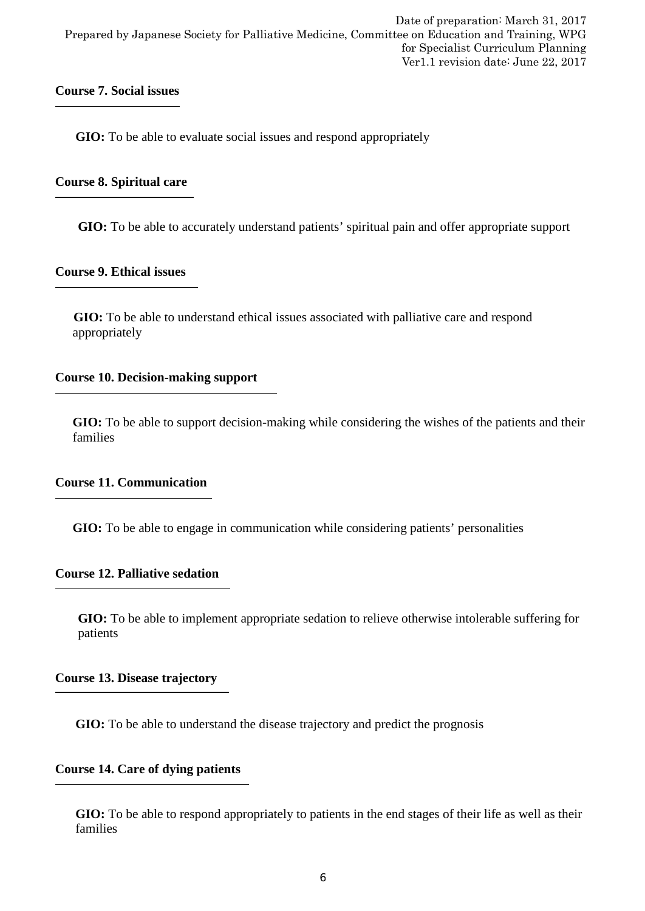# **Course 7. Social issues**

**GIO:** To be able to evaluate social issues and respond appropriately

### **Course 8. Spiritual care**

**GIO:** To be able to accurately understand patients' spiritual pain and offer appropriate support

### **Course 9. Ethical issues**

**GIO:** To be able to understand ethical issues associated with palliative care and respond appropriately

# **Course 10. Decision-making support**

**GIO:** To be able to support decision-making while considering the wishes of the patients and their families

#### **Course 11. Communication**

**GIO:** To be able to engage in communication while considering patients' personalities

#### **Course 12. Palliative sedation**

**GIO:** To be able to implement appropriate sedation to relieve otherwise intolerable suffering for patients

#### **Course 13. Disease trajectory**

**GIO:** To be able to understand the disease trajectory and predict the prognosis

# **Course 14. Care of dying patients**

**GIO:** To be able to respond appropriately to patients in the end stages of their life as well as their families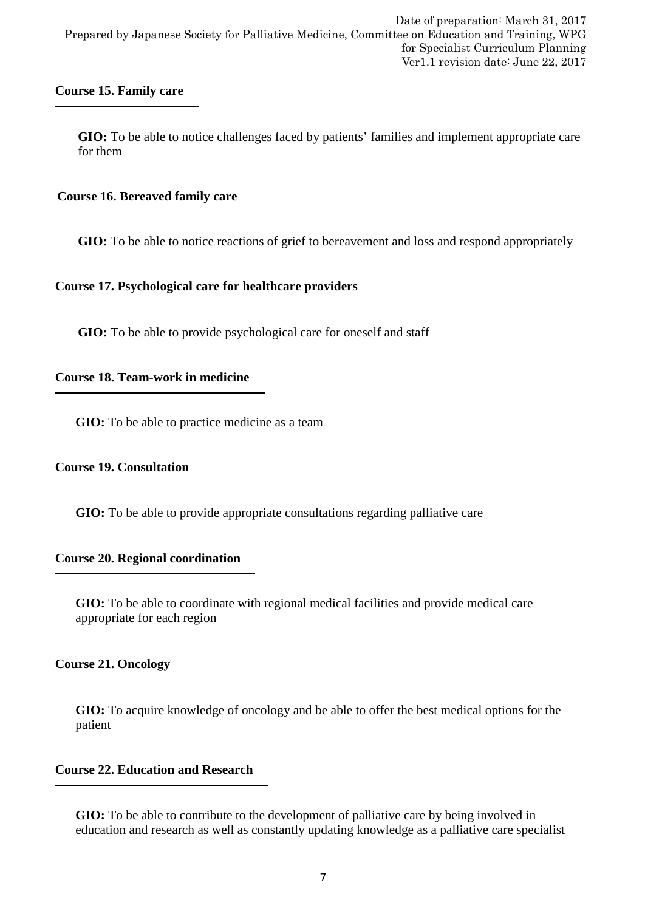#### **Course 15. Family care**

**GIO:** To be able to notice challenges faced by patients' families and implement appropriate care for them

### **Course 16. Bereaved family care**

**GIO:** To be able to notice reactions of grief to bereavement and loss and respond appropriately

#### **Course 17. Psychological care for healthcare providers**

GIO: To be able to provide psychological care for oneself and staff

#### **Course 18. Team-work in medicine**

**GIO:** To be able to practice medicine as a team

### **Course 19. Consultation**

**GIO:** To be able to provide appropriate consultations regarding palliative care

#### **Course 20. Regional coordination**

**GIO:** To be able to coordinate with regional medical facilities and provide medical care appropriate for each region

#### **Course 21. Oncology**

**GIO:** To acquire knowledge of oncology and be able to offer the best medical options for the patient

#### **Course 22. Education and Research**

**GIO:** To be able to contribute to the development of palliative care by being involved in education and research as well as constantly updating knowledge as a palliative care specialist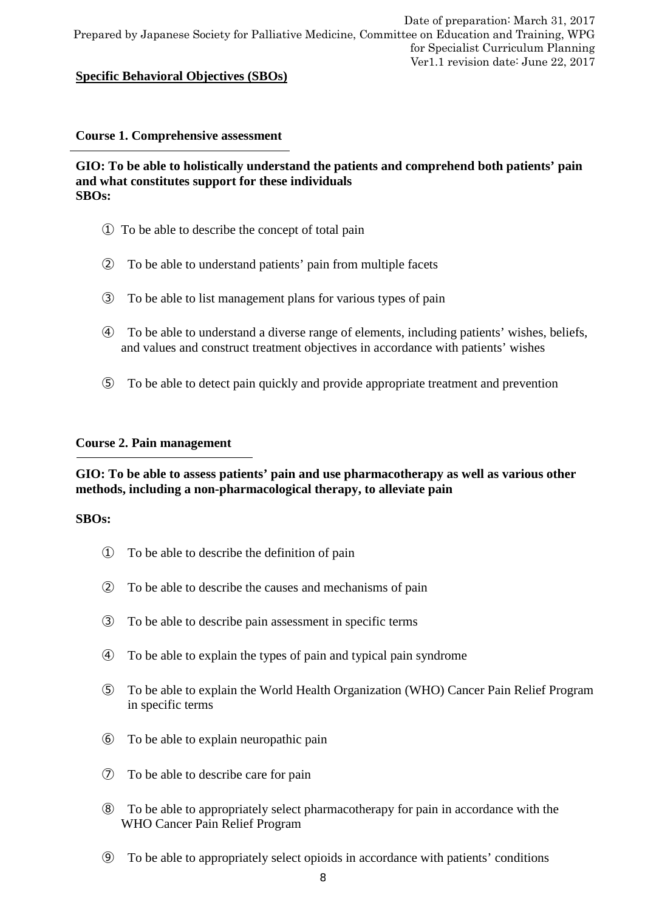### **Specific Behavioral Objectives (SBOs)**

#### **Course 1. Comprehensive assessment**

#### **GIO: To be able to holistically understand the patients and comprehend both patients' pain and what constitutes support for these individuals SBOs:**

- ① To be able to describe the concept of total pain
- ② To be able to understand patients' pain from multiple facets
- ③ To be able to list management plans for various types of pain
- ④ To be able to understand a diverse range of elements, including patients' wishes, beliefs, and values and construct treatment objectives in accordance with patients' wishes
- ⑤ To be able to detect pain quickly and provide appropriate treatment and prevention

#### **Course 2. Pain management**

### **GIO: To be able to assess patients' pain and use pharmacotherapy as well as various other methods, including a non-pharmacological therapy, to alleviate pain**

- ① To be able to describe the definition of pain
- ② To be able to describe the causes and mechanisms of pain
- ③ To be able to describe pain assessment in specific terms
- ④ To be able to explain the types of pain and typical pain syndrome
- ⑤ To be able to explain the World Health Organization (WHO) Cancer Pain Relief Program in specific terms
- ⑥ To be able to explain neuropathic pain
- ⑦ To be able to describe care for pain
- ⑧ To be able to appropriately select pharmacotherapy for pain in accordance with the WHO Cancer Pain Relief Program
- ⑨ To be able to appropriately select opioids in accordance with patients' conditions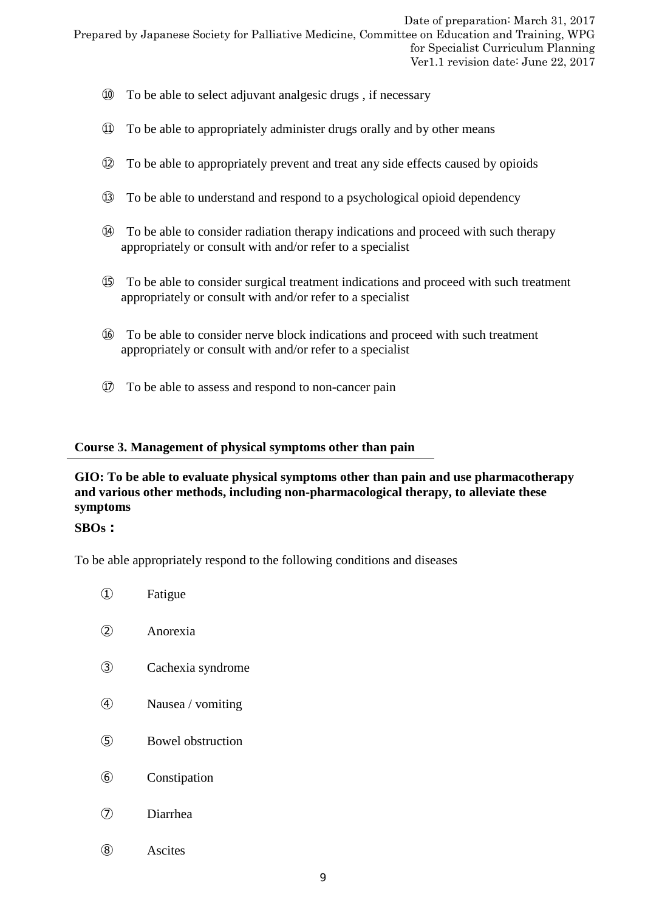- ⑩ To be able to select adjuvant analgesic drugs , if necessary
- ⑪ To be able to appropriately administer drugs orally and by other means
- ⑫ To be able to appropriately prevent and treat any side effects caused by opioids
- ⑬ To be able to understand and respond to a psychological opioid dependency
- ⑭ To be able to consider radiation therapy indications and proceed with such therapy appropriately or consult with and/or refer to a specialist
- ⑮ To be able to consider surgical treatment indications and proceed with such treatment appropriately or consult with and/or refer to a specialist
- ⑯ To be able to consider nerve block indications and proceed with such treatment appropriately or consult with and/or refer to a specialist
- ⑰ To be able to assess and respond to non-cancer pain

#### **Course 3. Management of physical symptoms other than pain**

# **GIO: To be able to evaluate physical symptoms other than pain and use pharmacotherapy and various other methods, including non-pharmacological therapy, to alleviate these symptoms**

#### **SBOs:**

 $\overline{a}$ 

To be able appropriately respond to the following conditions and diseases

| $\left( 1\right)$ | Fatigue           |
|-------------------|-------------------|
| (2)               | Anorexia          |
| $\circled{3}$     | Cachexia syndrome |
| $\circledA$       | Nausea / vomiting |
| $\circledS$       | Bowel obstruction |
| $\circledast$     | Constipation      |
|                   | Diarrhea          |
| (8)               | Ascites           |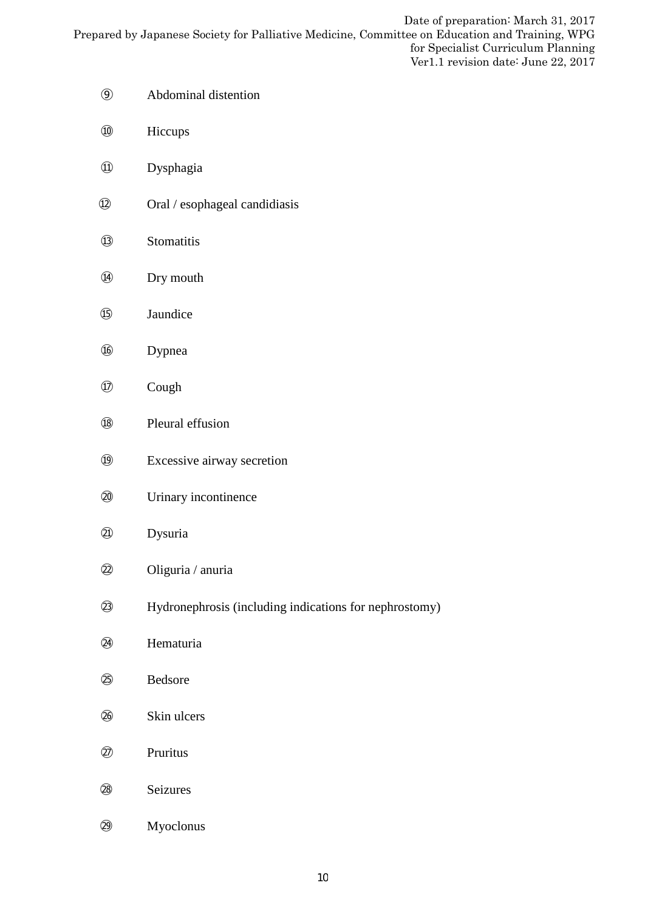- Abdominal distention
- Hiccups
- Dysphagia
- Oral / esophageal candidiasis
- Stomatitis
- Dry mouth
- Jaundice
- Dypnea
- Cough
- Pleural effusion
- Excessive airway secretion
- Urinary incontinence
- Dysuria
- Oliguria / anuria
- Hydronephrosis (including indications for nephrostomy)
- Hematuria
- Bedsore
- Skin ulcers
- Pruritus
- Seizures
- Myoclonus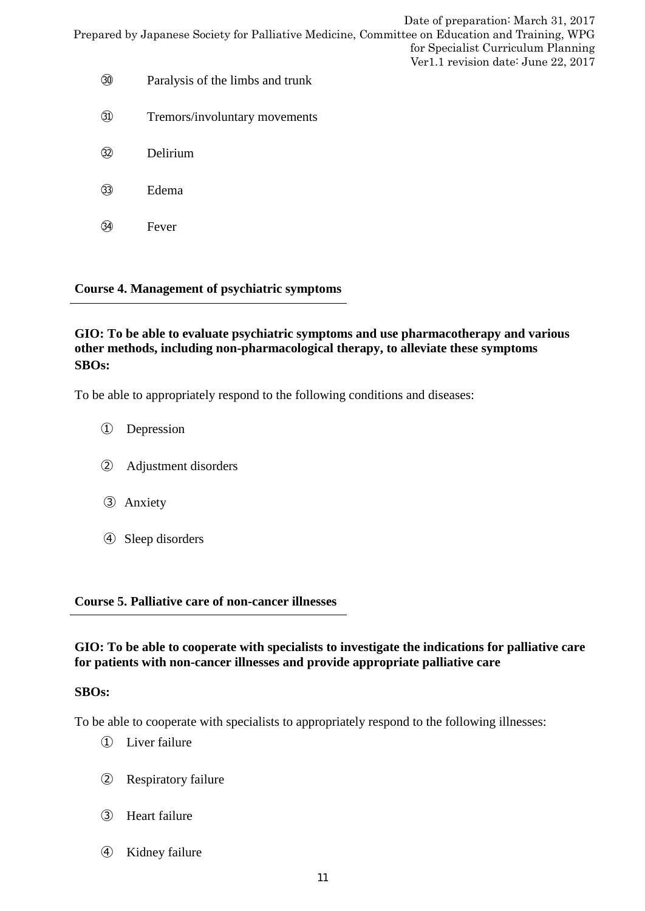|                                                                                                | Date of preparation: March 31, 2017 |
|------------------------------------------------------------------------------------------------|-------------------------------------|
| Prepared by Japanese Society for Palliative Medicine, Committee on Education and Training, WPG |                                     |
|                                                                                                | for Specialist Curriculum Planning  |
|                                                                                                | Ver1.1 revision date: June 22, 2017 |
|                                                                                                |                                     |

- ㉚ Paralysis of the limbs and trunk
- ㉛ Tremors/involuntary movements
- ㉜ Delirium
- ㉝ Edema
- ㉞ Fever

### **Course 4. Management of psychiatric symptoms**

# **GIO: To be able to evaluate psychiatric symptoms and use pharmacotherapy and various other methods, including non-pharmacological therapy, to alleviate these symptoms SBOs:**

To be able to appropriately respond to the following conditions and diseases:

- ① Depression
- ② Adjustment disorders
- ③ Anxiety
- ④ Sleep disorders

#### **Course 5. Palliative care of non-cancer illnesses**

### **GIO: To be able to cooperate with specialists to investigate the indications for palliative care for patients with non-cancer illnesses and provide appropriate palliative care**

#### **SBOs:**

To be able to cooperate with specialists to appropriately respond to the following illnesses:

- ① Liver failure
- ② Respiratory failure
- ③ Heart failure
- ④ Kidney failure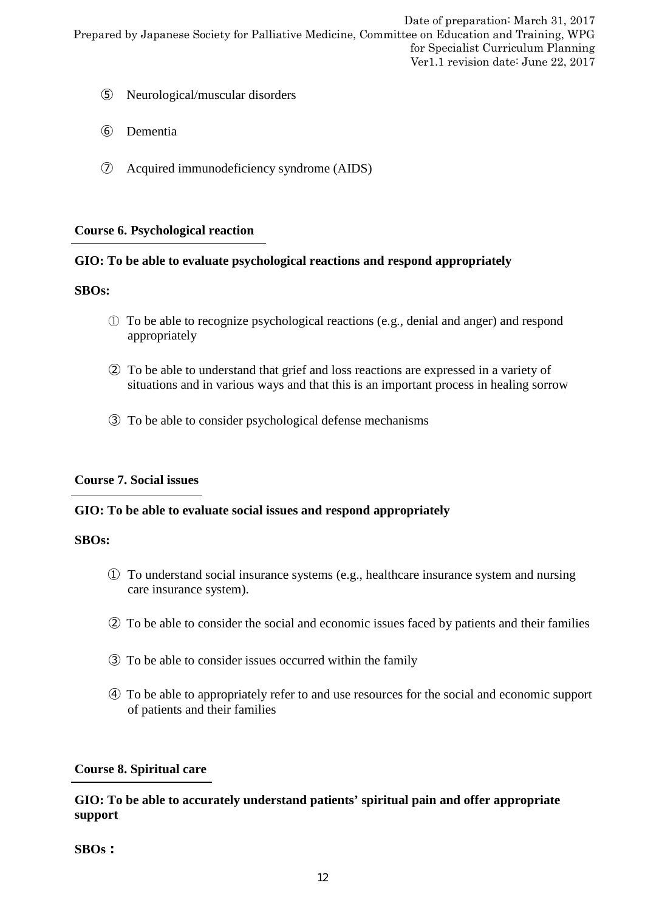- ⑤ Neurological/muscular disorders
- ⑥ Dementia
- ⑦ Acquired immunodeficiency syndrome (AIDS)

#### **Course 6. Psychological reaction**

### **GIO: To be able to evaluate psychological reactions and respond appropriately**

#### **SBOs:**

- ① To be able to recognize psychological reactions (e.g., denial and anger) and respond appropriately
- ② To be able to understand that grief and loss reactions are expressed in a variety of situations and in various ways and that this is an important process in healing sorrow
- ③ To be able to consider psychological defense mechanisms

#### **Course 7. Social issues**

#### **GIO: To be able to evaluate social issues and respond appropriately**

#### **SBOs:**

- ① To understand social insurance systems (e.g., healthcare insurance system and nursing care insurance system).
- ② To be able to consider the social and economic issues faced by patients and their families
- ③ To be able to consider issues occurred within the family
- ④ To be able to appropriately refer to and use resources for the social and economic support of patients and their families

# **Course 8. Spiritual care**

# **GIO: To be able to accurately understand patients' spiritual pain and offer appropriate support**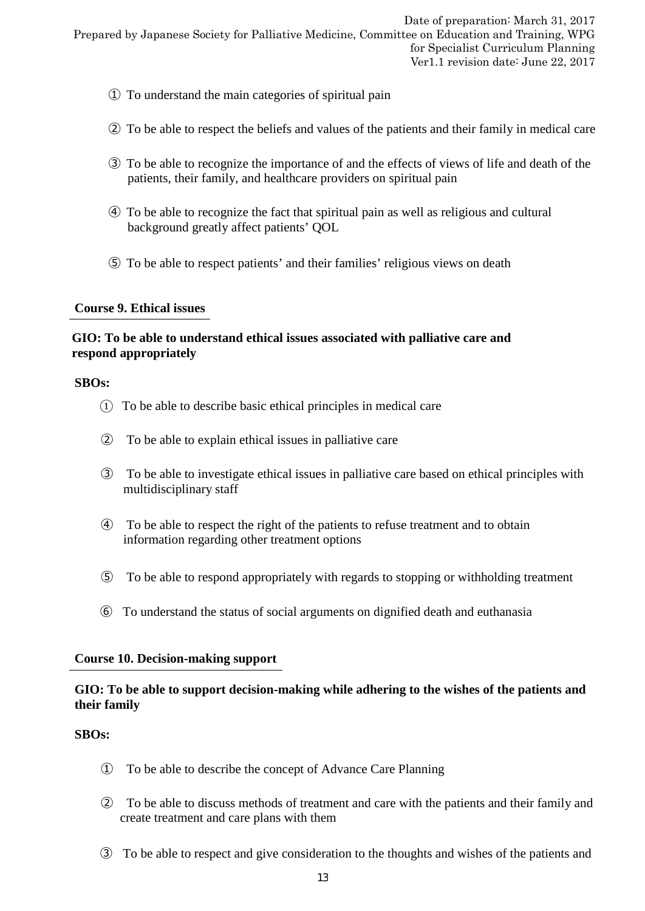- ① To understand the main categories of spiritual pain
- ② To be able to respect the beliefs and values of the patients and their family in medical care
- ③ To be able to recognize the importance of and the effects of views of life and death of the patients, their family, and healthcare providers on spiritual pain
- ④ To be able to recognize the fact that spiritual pain as well as religious and cultural background greatly affect patients' QOL
- ⑤ To be able to respect patients' and their families' religious views on death

#### **Course 9. Ethical issues**

# **GIO: To be able to understand ethical issues associated with palliative care and respond appropriately**

#### **SBOs:**

- ① To be able to describe basic ethical principles in medical care
- ② To be able to explain ethical issues in palliative care
- ③ To be able to investigate ethical issues in palliative care based on ethical principles with multidisciplinary staff
- ④ To be able to respect the right of the patients to refuse treatment and to obtain information regarding other treatment options
- ⑤ To be able to respond appropriately with regards to stopping or withholding treatment
- ⑥ To understand the status of social arguments on dignified death and euthanasia

#### **Course 10. Decision-making support**

### **GIO: To be able to support decision-making while adhering to the wishes of the patients and their family**

- ① To be able to describe the concept of Advance Care Planning
- ② To be able to discuss methods of treatment and care with the patients and their family and create treatment and care plans with them
- ③ To be able to respect and give consideration to the thoughts and wishes of the patients and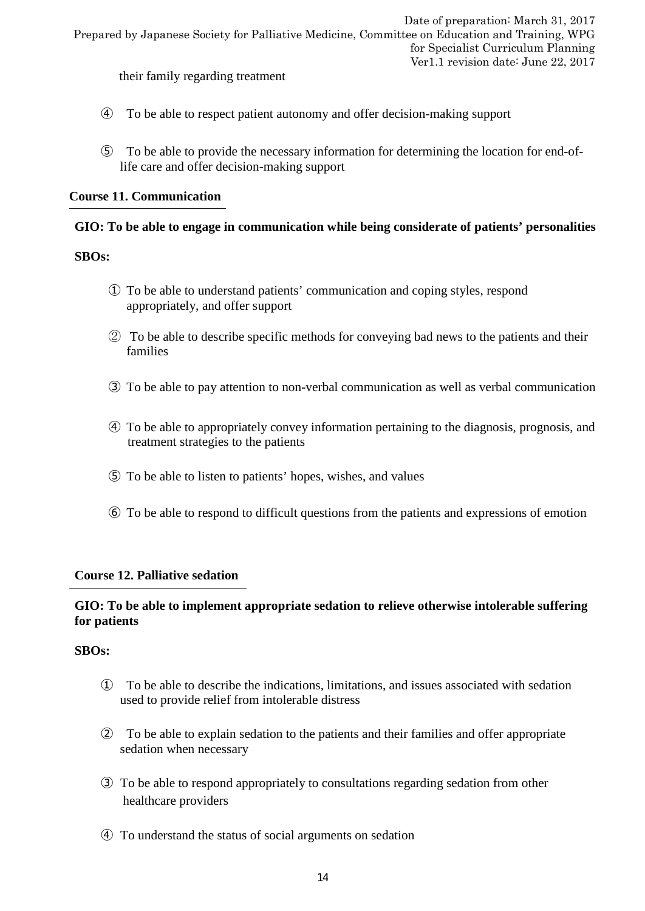their family regarding treatment

- ④ To be able to respect patient autonomy and offer decision-making support
- ⑤ To be able to provide the necessary information for determining the location for end-oflife care and offer decision-making support

### **Course 11. Communication**

### **GIO: To be able to engage in communication while being considerate of patients' personalities**

#### **SBOs:**

- ① To be able to understand patients' communication and coping styles, respond appropriately, and offer support
- ② To be able to describe specific methods for conveying bad news to the patients and their families
- ③ To be able to pay attention to non-verbal communication as well as verbal communication
- ④ To be able to appropriately convey information pertaining to the diagnosis, prognosis, and treatment strategies to the patients
- ⑤ To be able to listen to patients' hopes, wishes, and values
- ⑥ To be able to respond to difficult questions from the patients and expressions of emotion

#### **Course 12. Palliative sedation**

### **GIO: To be able to implement appropriate sedation to relieve otherwise intolerable suffering for patients**

- ① To be able to describe the indications, limitations, and issues associated with sedation used to provide relief from intolerable distress
- ② To be able to explain sedation to the patients and their families and offer appropriate sedation when necessary
- ③ To be able to respond appropriately to consultations regarding sedation from other healthcare providers
- ④ To understand the status of social arguments on sedation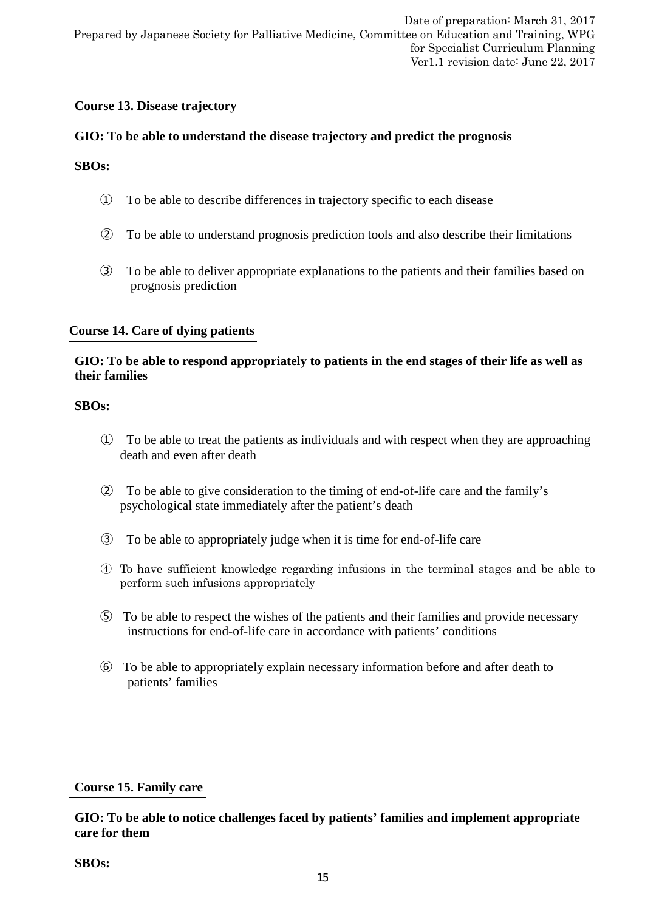### **Course 13. Disease trajectory**

### **GIO: To be able to understand the disease trajectory and predict the prognosis**

### **SBOs:**

- ① To be able to describe differences in trajectory specific to each disease
- ② To be able to understand prognosis prediction tools and also describe their limitations
- ③ To be able to deliver appropriate explanations to the patients and their families based on prognosis prediction

#### **Course 14. Care of dying patients**

# **GIO: To be able to respond appropriately to patients in the end stages of their life as well as their families**

#### **SBOs:**

- ① To be able to treat the patients as individuals and with respect when they are approaching death and even after death
- ② To be able to give consideration to the timing of end-of-life care and the family's psychological state immediately after the patient's death
- ③ To be able to appropriately judge when it is time for end-of-life care
- ④ To have sufficient knowledge regarding infusions in the terminal stages and be able to perform such infusions appropriately
- ⑤ To be able to respect the wishes of the patients and their families and provide necessary instructions for end-of-life care in accordance with patients' conditions
- ⑥ To be able to appropriately explain necessary information before and after death to patients' families

#### **Course 15. Family care**

**GIO: To be able to notice challenges faced by patients' families and implement appropriate care for them**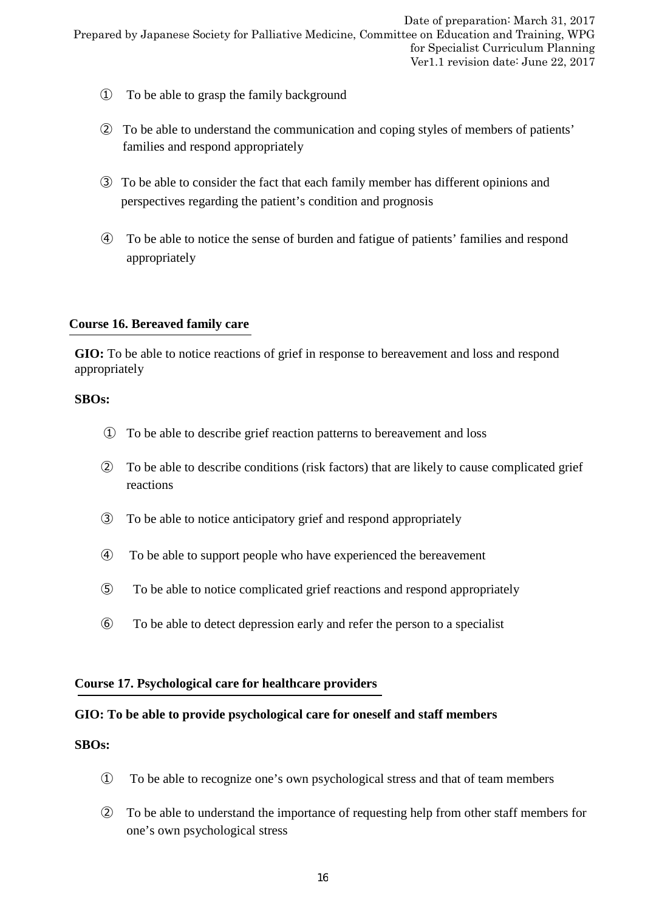- ① To be able to grasp the family background
- ② To be able to understand the communication and coping styles of members of patients' families and respond appropriately
- ③ To be able to consider the fact that each family member has different opinions and perspectives regarding the patient's condition and prognosis
- ④ To be able to notice the sense of burden and fatigue of patients' families and respond appropriately

#### **Course 16. Bereaved family care**

**GIO:** To be able to notice reactions of grief in response to bereavement and loss and respond appropriately

#### **SBOs:**

- ① To be able to describe grief reaction patterns to bereavement and loss
- ② To be able to describe conditions (risk factors) that are likely to cause complicated grief reactions
- ③ To be able to notice anticipatory grief and respond appropriately
- ④ To be able to support people who have experienced the bereavement
- ⑤ To be able to notice complicated grief reactions and respond appropriately
- ⑥ To be able to detect depression early and refer the person to a specialist

#### **Course 17. Psychological care for healthcare providers**

#### **GIO: To be able to provide psychological care for oneself and staff members**

- ① To be able to recognize one's own psychological stress and that of team members
- ② To be able to understand the importance of requesting help from other staff members for one's own psychological stress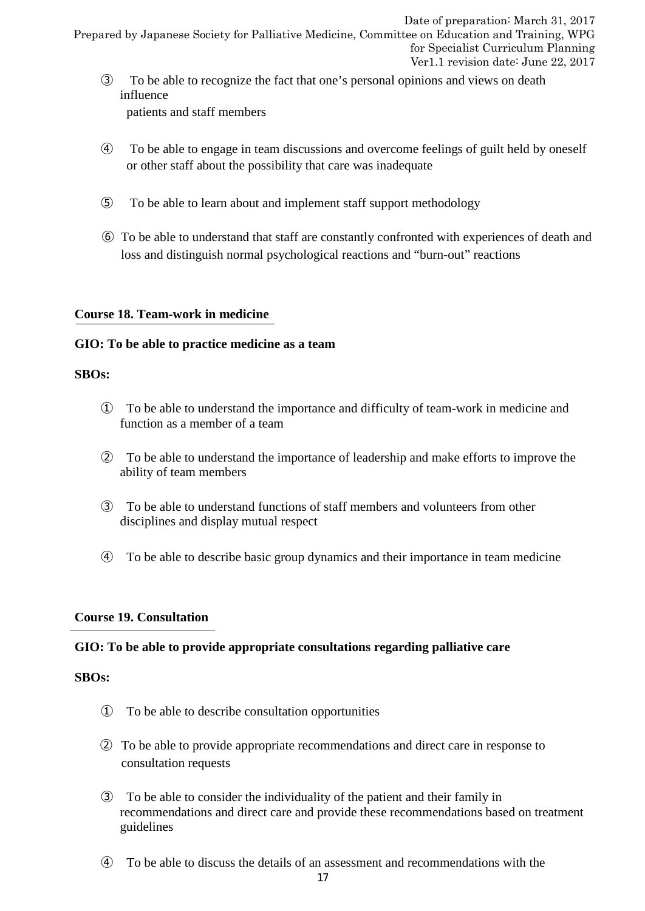- ③ To be able to recognize the fact that one's personal opinions and views on death influence patients and staff members
- ④ To be able to engage in team discussions and overcome feelings of guilt held by oneself or other staff about the possibility that care was inadequate
- ⑤ To be able to learn about and implement staff support methodology
- ⑥ To be able to understand that staff are constantly confronted with experiences of death and loss and distinguish normal psychological reactions and "burn-out" reactions

# **Course 18. Team-work in medicine**

### **GIO: To be able to practice medicine as a team**

#### **SBOs:**

- ① To be able to understand the importance and difficulty of team-work in medicine and function as a member of a team
- ② To be able to understand the importance of leadership and make efforts to improve the ability of team members
- ③ To be able to understand functions of staff members and volunteers from other disciplines and display mutual respect
- ④ To be able to describe basic group dynamics and their importance in team medicine

# **Course 19. Consultation**

#### **GIO: To be able to provide appropriate consultations regarding palliative care**

- ① To be able to describe consultation opportunities
- ② To be able to provide appropriate recommendations and direct care in response to consultation requests
- ③ To be able to consider the individuality of the patient and their family in recommendations and direct care and provide these recommendations based on treatment guidelines
- ④ To be able to discuss the details of an assessment and recommendations with the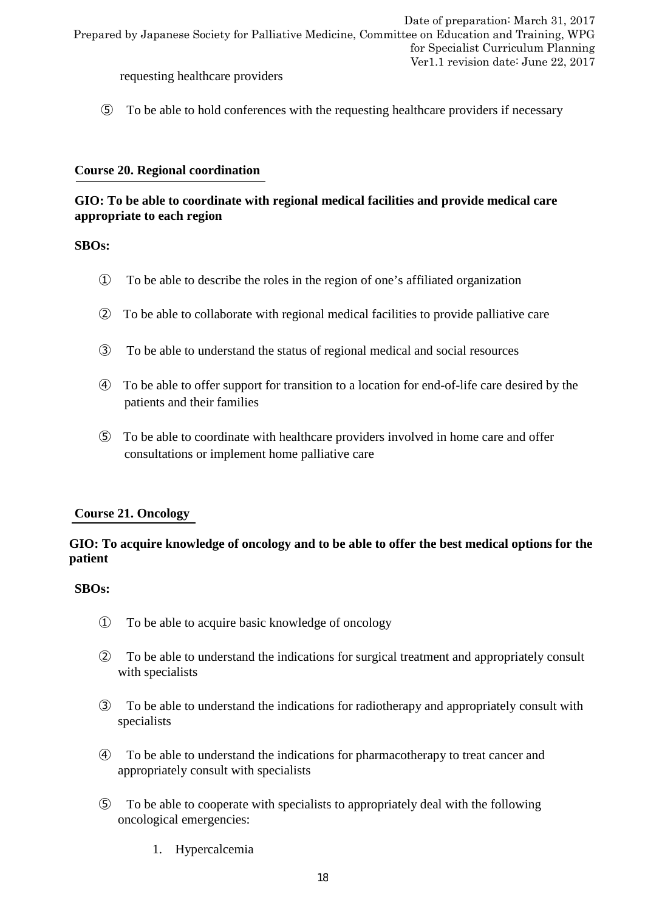requesting healthcare providers

⑤ To be able to hold conferences with the requesting healthcare providers if necessary

## **Course 20. Regional coordination**

# **GIO: To be able to coordinate with regional medical facilities and provide medical care appropriate to each region**

### **SBOs:**

- ① To be able to describe the roles in the region of one's affiliated organization
- ② To be able to collaborate with regional medical facilities to provide palliative care
- ③ To be able to understand the status of regional medical and social resources
- ④ To be able to offer support for transition to a location for end-of-life care desired by the patients and their families
- ⑤ To be able to coordinate with healthcare providers involved in home care and offer consultations or implement home palliative care

# **Course 21. Oncology**

# **GIO: To acquire knowledge of oncology and to be able to offer the best medical options for the patient**

- ① To be able to acquire basic knowledge of oncology
- ② To be able to understand the indications for surgical treatment and appropriately consult with specialists
- ③ To be able to understand the indications for radiotherapy and appropriately consult with specialists
- ④ To be able to understand the indications for pharmacotherapy to treat cancer and appropriately consult with specialists
- ⑤ To be able to cooperate with specialists to appropriately deal with the following oncological emergencies:
	- 1. Hypercalcemia